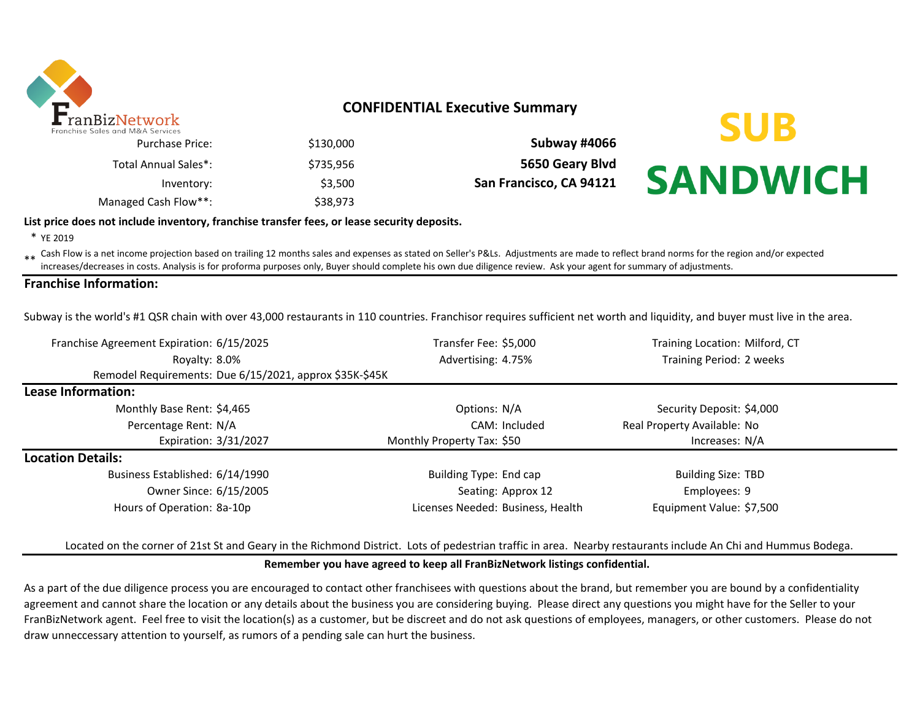

# **CONFIDENTIAL Executive Summary**

|                         |           | TIES UITU IVIOLA JEI VILES |
|-------------------------|-----------|----------------------------|
| Subway #4066            | \$130,000 | Purchase Price:            |
| 5650 Geary Blvd         | \$735.956 | Total Annual Sales*:       |
| San Francisco, CA 94121 | \$3.500   | Inventory:                 |
|                         | \$38,973  | Managed Cash Flow**:       |



## **List price does not include inventory, franchise transfer fees, or lease security deposits.**

\* YE 2019

\*\* Cash Flow is a net income projection based on trailing 12 months sales and expenses as stated on Seller's P&Ls. Adjustments are made to reflect brand norms for the region and/or expected increases/decreases in costs. Analysis is for proforma purposes only, Buyer should complete his own due diligence review. Ask your agent for summary of adjustments.

## **Franchise Information:**

Subway is the world's #1 QSR chain with over 43,000 restaurants in 110 countries. Franchisor requires sufficient net worth and liquidity, and buyer must live in the area.

| Franchise Agreement Expiration: 6/15/2025               | Transfer Fee: \$5,000             | Training Location: Milford, CT |  |  |
|---------------------------------------------------------|-----------------------------------|--------------------------------|--|--|
| Royalty: 8.0%                                           | Advertising: 4.75%                | Training Period: 2 weeks       |  |  |
| Remodel Requirements: Due 6/15/2021, approx \$35K-\$45K |                                   |                                |  |  |
| Lease Information:                                      |                                   |                                |  |  |
| Monthly Base Rent: \$4,465                              | Options: N/A                      | Security Deposit: \$4,000      |  |  |
| Percentage Rent: N/A                                    | CAM: Included                     | Real Property Available: No    |  |  |
| Expiration: 3/31/2027                                   | Monthly Property Tax: \$50        | Increases: N/A                 |  |  |
| <b>Location Details:</b>                                |                                   |                                |  |  |
| Business Established: 6/14/1990                         | Building Type: End cap            | <b>Building Size: TBD</b>      |  |  |
| Owner Since: 6/15/2005                                  | Seating: Approx 12                | Employees: 9                   |  |  |
| Hours of Operation: 8a-10p                              | Licenses Needed: Business, Health | Equipment Value: \$7,500       |  |  |

# Located on the corner of 21st St and Geary in the Richmond District. Lots of pedestrian traffic in area. Nearby restaurants include An Chi and Hummus Bodega.

#### **Remember you have agreed to keep all FranBizNetwork listings confidential.**

As a part of the due diligence process you are encouraged to contact other franchisees with questions about the brand, but remember you are bound by a confidentiality agreement and cannot share the location or any details about the business you are considering buying. Please direct any questions you might have for the Seller to your FranBizNetwork agent. Feel free to visit the location(s) as a customer, but be discreet and do not ask questions of employees, managers, or other customers. Please do not draw unneccessary attention to yourself, as rumors of a pending sale can hurt the business.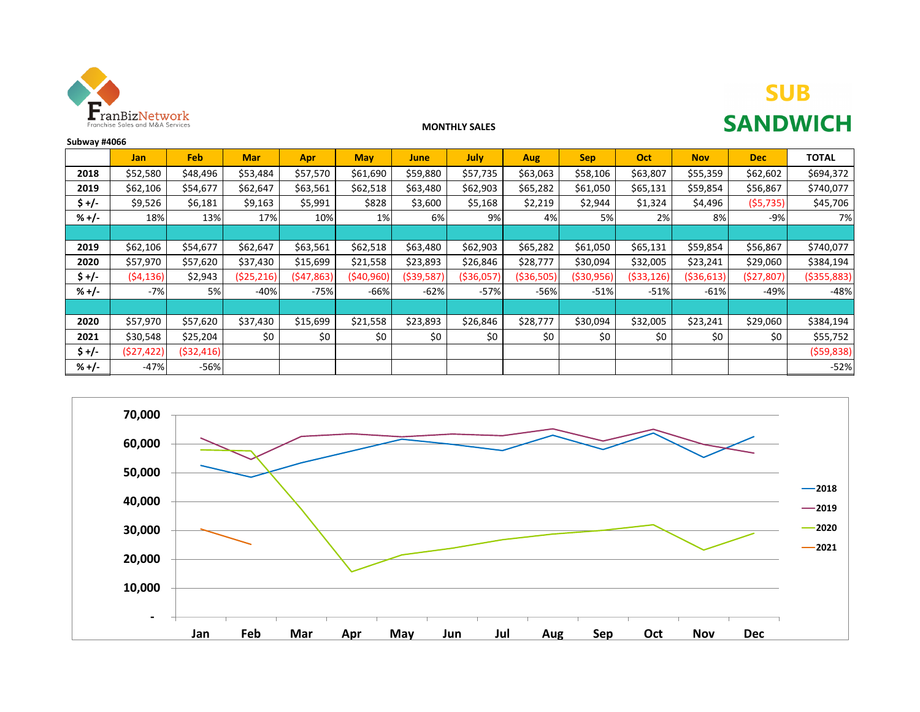

# **SUB SANDWICH**

#### **MONTHLY SALES**

| Subway #4066 |            |            |            |            |            |             |            |              |              |            |              |            |               |
|--------------|------------|------------|------------|------------|------------|-------------|------------|--------------|--------------|------------|--------------|------------|---------------|
|              | Jan        | Feb        | <b>Mar</b> | <b>Apr</b> | <b>May</b> | June        | July       | Aug          | <b>Sep</b>   | Oct        | <b>Nov</b>   | <b>Dec</b> | <b>TOTAL</b>  |
| 2018         | \$52,580   | \$48,496   | \$53,484   | \$57,570   | \$61,690   | \$59,880    | \$57,735   | \$63,063     | \$58,106     | \$63,807   | \$55,359     | \$62,602   | \$694,372     |
| 2019         | \$62,106   | \$54,677   | \$62,647   | \$63,561   | \$62,518   | \$63,480    | \$62,903   | \$65,282     | \$61,050     | \$65,131   | \$59,854     | \$56,867   | \$740,077     |
| $$+/-$       | \$9,526    | \$6,181    | \$9,163    | \$5,991    | \$828      | \$3,600     | \$5,168    | \$2,219      | \$2,944      | \$1,324    | \$4,496      | (55, 735)  | \$45,706      |
| $% +/-$      | 18%        | 13%        | 17%        | 10%        | 1%         | 6%          | 9%         | 4%           | 5%           | 2%         | 8%           | -9%        | 7%            |
|              |            |            |            |            |            |             |            |              |              |            |              |            |               |
| 2019         | \$62,106   | \$54,677   | \$62,647   | \$63,561   | \$62,518   | \$63,480    | \$62,903   | \$65,282     | \$61,050     | \$65,131   | \$59,854     | \$56,867   | \$740,077     |
| 2020         | \$57,970   | \$57,620   | \$37,430   | \$15,699   | \$21,558   | \$23,893    | \$26,846   | \$28,777     | \$30,094     | \$32,005   | \$23,241     | \$29,060   | \$384,194     |
| $$+/-$       | (54, 136)  | \$2,943    | (525, 216) | (547, 863) | (540,960)  | ( \$39,587) | (\$36,057) | ( \$36, 505) | ( \$30, 956) | (\$33,126) | ( \$36, 613) | (527, 807) | ( \$355, 883) |
| $% +/-$      | $-7%$      | 5%         | $-40%$     | $-75%$     | -66%       | $-62%$      | $-57%$     | $-56%$       | $-51%$       | $-51%$     | $-61%$       | $-49%$     | $-48%$        |
|              |            |            |            |            |            |             |            |              |              |            |              |            |               |
| 2020         | \$57,970   | \$57,620   | \$37,430   | \$15,699   | \$21,558   | \$23,893    | \$26,846   | \$28,777     | \$30,094     | \$32,005   | \$23,241     | \$29,060   | \$384,194     |
| 2021         | \$30,548   | \$25,204   | \$0        | \$0        | \$0        | \$0         | \$0        | \$0          | \$0          | \$0        | \$0          | \$0        | \$55,752      |
| $$+/-$       | (\$27,422) | (532, 416) |            |            |            |             |            |              |              |            |              |            | (559,838)     |
| $% +/-$      | $-47%$     | $-56%$     |            |            |            |             |            |              |              |            |              |            | $-52%$        |